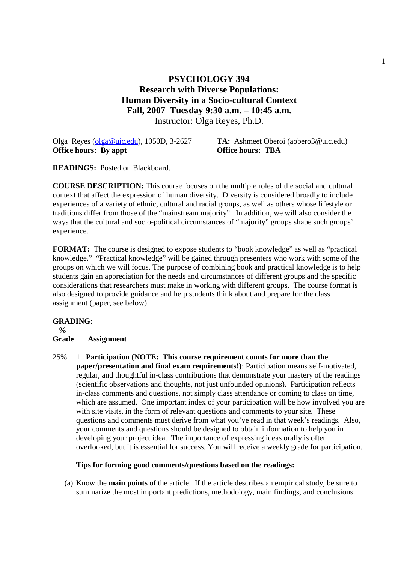## **PSYCHOLOGY 394 Research with Diverse Populations: Human Diversity in a Socio-cultural Context Fall, 2007 Tuesday 9:30 a.m. – 10:45 a.m.**  Instructor: Olga Reyes, Ph.D.

Olga Reyes (olga@uic.edu), 1050D, 3-2627 **TA:** Ashmeet Oberoi (aobero3@uic.edu) **Office hours: By appt Office hours: TBA** 

**READINGS:** Posted on Blackboard.

**COURSE DESCRIPTION:** This course focuses on the multiple roles of the social and cultural context that affect the expression of human diversity. Diversity is considered broadly to include experiences of a variety of ethnic, cultural and racial groups, as well as others whose lifestyle or traditions differ from those of the "mainstream majority". In addition, we will also consider the ways that the cultural and socio-political circumstances of "majority" groups shape such groups' experience.

**FORMAT:** The course is designed to expose students to "book knowledge" as well as "practical knowledge." "Practical knowledge" will be gained through presenters who work with some of the groups on which we will focus. The purpose of combining book and practical knowledge is to help students gain an appreciation for the needs and circumstances of different groups and the specific considerations that researchers must make in working with different groups. The course format is also designed to provide guidance and help students think about and prepare for the class assignment (paper, see below).

#### **GRADING:**

#### **% Grade Assignment**

25% 1. **Participation (NOTE: This course requirement counts for more than the paper/presentation and final exam requirements!)**: Participation means self-motivated, regular, and thoughtful in-class contributions that demonstrate your mastery of the readings (scientific observations and thoughts, not just unfounded opinions). Participation reflects in-class comments and questions, not simply class attendance or coming to class on time, which are assumed. One important index of your participation will be how involved you are with site visits, in the form of relevant questions and comments to your site. These questions and comments must derive from what you've read in that week's readings. Also, your comments and questions should be designed to obtain information to help you in developing your project idea. The importance of expressing ideas orally is often overlooked, but it is essential for success. You will receive a weekly grade for participation.

#### **Tips for forming good comments/questions based on the readings:**

(a) Know the **main points** of the article. If the article describes an empirical study, be sure to summarize the most important predictions, methodology, main findings, and conclusions.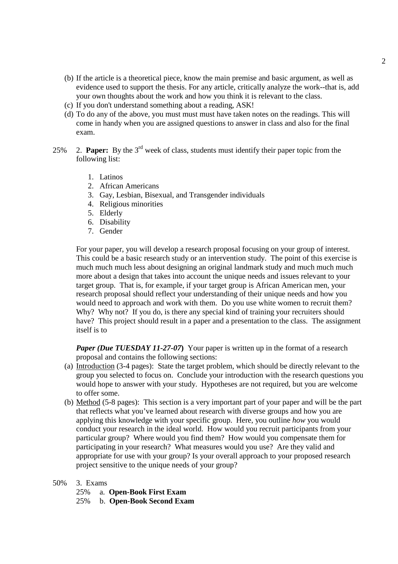- (b) If the article is a theoretical piece, know the main premise and basic argument, as well as evidence used to support the thesis. For any article, critically analyze the work--that is, add your own thoughts about the work and how you think it is relevant to the class.
- (c) If you don't understand something about a reading, ASK!
- (d) To do any of the above, you must must must have taken notes on the readings. This will come in handy when you are assigned questions to answer in class and also for the final exam.
- 25% 2. **Paper:** By the 3rd week of class, students must identify their paper topic from the following list:
	- 1. Latinos
	- 2. African Americans
	- 3. Gay, Lesbian, Bisexual, and Transgender individuals
	- 4. Religious minorities
	- 5. Elderly
	- 6. Disability
	- 7. Gender

 For your paper, you will develop a research proposal focusing on your group of interest. This could be a basic research study or an intervention study. The point of this exercise is much much much less about designing an original landmark study and much much much more about a design that takes into account the unique needs and issues relevant to your target group. That is, for example, if your target group is African American men, your research proposal should reflect your understanding of their unique needs and how you would need to approach and work with them. Do you use white women to recruit them? Why? Why not? If you do, is there any special kind of training your recruiters should have? This project should result in a paper and a presentation to the class. The assignment itself is to

*Paper (Due TUESDAY 11-27-07)* Your paper is written up in the format of a research proposal and contains the following sections:

- (a) Introduction (3-4 pages): State the target problem, which should be directly relevant to the group you selected to focus on. Conclude your introduction with the research questions you would hope to answer with your study. Hypotheses are not required, but you are welcome to offer some.
- (b) Method (5-8 pages): This section is a very important part of your paper and will be the part that reflects what you've learned about research with diverse groups and how you are applying this knowledge with your specific group. Here, you outline *how* you would conduct your research in the ideal world. How would you recruit participants from your particular group? Where would you find them? How would you compensate them for participating in your research? What measures would you use? Are they valid and appropriate for use with your group? Is your overall approach to your proposed research project sensitive to the unique needs of your group?
- 50% 3. Exams
	- 25% a. **Open-Book First Exam**
	- 25% b. **Open-Book Second Exam**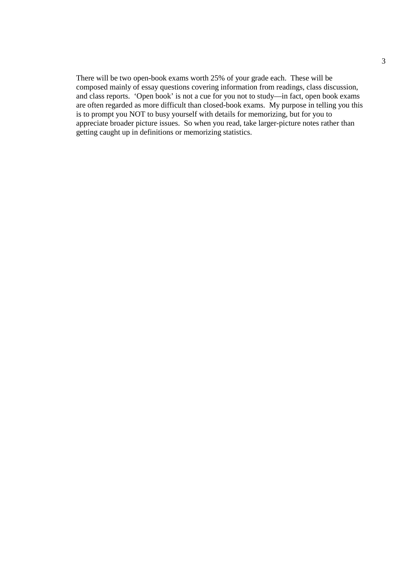There will be two open-book exams worth 25% of your grade each. These will be composed mainly of essay questions covering information from readings, class discussion, and class reports. 'Open book' is not a cue for you not to study—in fact, open book exams are often regarded as more difficult than closed-book exams. My purpose in telling you this is to prompt you NOT to busy yourself with details for memorizing, but for you to appreciate broader picture issues. So when you read, take larger-picture notes rather than getting caught up in definitions or memorizing statistics.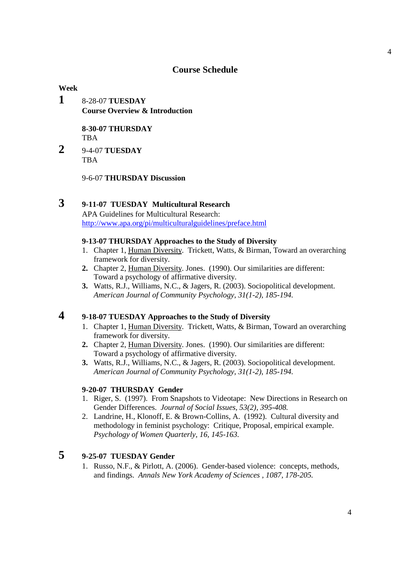### **Course Schedule**

### **Week**

**1** 8-28-07 **TUESDAY Course Overview & Introduction** 

> **8-30-07 THURSDAY TRA**

**2** 9-4-07 **TUESDAY TBA** 

9-6-07 **THURSDAY Discussion** 

# **3 9-11-07 TUESDAY Multicultural Research**

 APA Guidelines for Multicultural Research: http://www.apa.org/pi/multiculturalguidelines/preface.html

### **9-13-07 THURSDAY Approaches to the Study of Diversity**

- 1. Chapter 1, Human Diversity. Trickett, Watts, & Birman, Toward an overarching framework for diversity.
- **2.** Chapter 2, Human Diversity. Jones. (1990). Our similarities are different: Toward a psychology of affirmative diversity.
- **3.** Watts, R.J., Williams, N.C., & Jagers, R. (2003). Sociopolitical development. *American Journal of Community Psychology, 31(1-2), 185-194.*

# **4 9-18-07 TUESDAY Approaches to the Study of Diversity**

- 1. Chapter 1, Human Diversity. Trickett, Watts, & Birman, Toward an overarching framework for diversity.
- **2.** Chapter 2, Human Diversity. Jones. (1990). Our similarities are different: Toward a psychology of affirmative diversity.
- **3.** Watts, R.J., Williams, N.C., & Jagers, R. (2003). Sociopolitical development. *American Journal of Community Psychology, 31(1-2), 185-194.*

#### **9-20-07 THURSDAY Gender**

- 1. Riger, S. (1997). From Snapshots to Videotape: New Directions in Research on Gender Differences. *Journal of Social Issues, 53(2), 395-408.*
- 2. Landrine, H., Klonoff, E. & Brown-Collins, A. (1992). Cultural diversity and methodology in feminist psychology: Critique, Proposal, empirical example. *Psychology of Women Quarterly, 16, 145-163.*

# **5 9-25-07 TUESDAY Gender**

1. Russo, N.F., & Pirlott, A. (2006). Gender-based violence: concepts, methods, and findings. *Annals New York Academy of Sciences , 1087, 178-205.*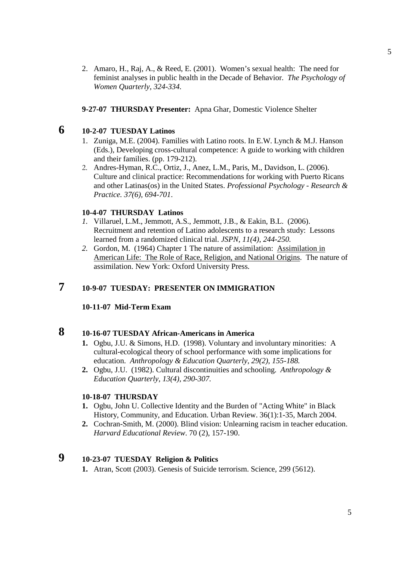2. Amaro, H., Raj, A., & Reed, E. (2001). Women's sexual health: The need for feminist analyses in public health in the Decade of Behavior. *The Psychology of Women Quarterly, 324-334.*

### **9-27-07 THURSDAY Presenter:** Apna Ghar, Domestic Violence Shelter

# **6 10-2-07 TUESDAY Latinos**

- 1. Zuniga, M.E. (2004). Families with Latino roots. In E.W. Lynch & M.J. Hanson (Eds.), Developing cross-cultural competence: A guide to working with children and their families. (pp. 179-212).
- 2. Andres-Hyman, R.C., Ortiz, J., Anez, L.M., Paris, M., Davidson, L. (2006). Culture and clinical practice: Recommendations for working with Puerto Ricans and other Latinas(os) in the United States. *Professional Psychology - Research & Practice. 37(6), 694-701*.

#### **10-4-07 THURSDAY Latinos**

- *1.* Villaruel, L.M., Jemmott, A.S., Jemmott, J.B., & Eakin, B.L. (2006). Recruitment and retention of Latino adolescents to a research study: Lessons learned from a randomized clinical trial. *JSPN, 11(4), 244-250.*
- *2.* Gordon, M. (1964) Chapter 1 The nature of assimilation: Assimilation in American Life: The Role of Race, Religion, and National Origins. The nature of assimilation. New York: Oxford University Press.

## **7 10-9-07 TUESDAY: PRESENTER ON IMMIGRATION**

#### **10-11-07 Mid-Term Exam**

# **8 10-16-07 TUESDAY African-Americans in America**

- **1.** Ogbu, J.U. & Simons, H.D. (1998). Voluntary and involuntary minorities: A cultural-ecological theory of school performance with some implications for education. *Anthropology & Education Quarterly, 29(2), 155-188.*
- **2.** Ogbu, J.U. (1982). Cultural discontinuities and schooling. *Anthropology & Education Quarterly, 13(4), 290-307.*

#### **10-18-07 THURSDAY**

- **1.** Ogbu, John U. Collective Identity and the Burden of "Acting White" in Black History, Community, and Education. Urban Review. 36(1):1-35, March 2004.
- **2.** Cochran-Smith, M. (2000). Blind vision: Unlearning racism in teacher education. *Harvard Educational Review*. 70 (2), 157-190.

## **9 10-23-07 TUESDAY Religion & Politics**

**1.** Atran, Scott (2003). Genesis of Suicide terrorism. Science, 299 (5612).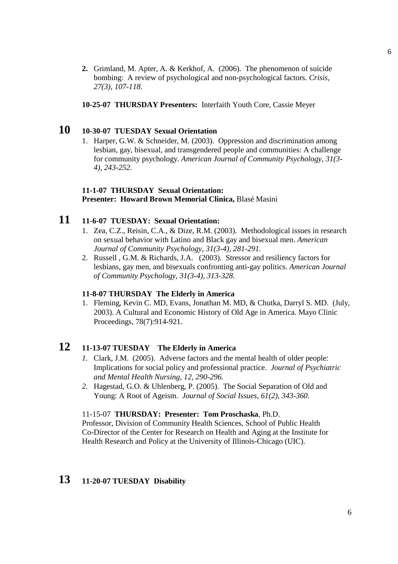- **2.** Grimland, M. Apter, A. & Kerkhof, A. (2006). The phenomenon of suicide bombing: A review of psychological and non-psychological factors. *Crisis, 27(3), 107-118.*
- **10-25-07 THURSDAY Presenters:** Interfaith Youth Core, Cassie Meyer

## **10 10-30-07 TUESDAY Sexual Orientation**

1. Harper, G.W. & Schneider, M. (2003). Oppression and discrimination among lesbian, gay, bisexual, and transgendered people and communities: A challenge for community psychology. *American Journal of Community Psychology, 31(3- 4), 243-252.*

#### **11-1-07 THURSDAY Sexual Orientation: Presenter: Howard Brown Memorial Clinica,** Blasé Masini

# **11 11-6-07 TUESDAY: Sexual Orientation:**

- 1. Zea, C.Z., Reisin, C.A., & Dize, R.M. (2003). Methodological issues in research on sexual behavior with Latino and Black gay and bisexual men. *American Journal of Community Psychology, 31(3-4), 281-291.*
- 2. Russell , G.M. & Richards, J.A. (2003). Stressor and resiliency factors for lesbians, gay men, and bisexuals confronting anti-gay politics. *American Journal of Community Psychology, 31(3-4), 313-328.*

#### **11-8-07 THURSDAY The Elderly in America**

1. Fleming, Kevin C. MD, Evans, Jonathan M. MD, & Chutka, Darryl S. MD. (July, 2003). A Cultural and Economic History of Old Age in America. Mayo Clinic Proceedings, 78(7):914-921.

## **12 11-13-07 TUESDAY The Elderly in America**

- *1.* Clark, J.M. (2005). Adverse factors and the mental health of older people: Implications for social policy and professional practice. *Journal of Psychiatric and Mental Health Nursing, 12, 290-296.*
- *2.* Hagestad, G.O. & Uhlenberg, P. (2005). The Social Separation of Old and Young: A Root of Ageism. *Journal of Social Issues, 61(2), 343-360.*

### 11-15-07 **THURSDAY: Presenter: Tom Proschaska**, Ph.D.

 Professor, Division of Community Health Sciences, School of Public Health Co-Director of the Center for Research on Health and Aging at the Institute for Health Research and Policy at the University of Illinois-Chicago (UIC).

## **13 11-20-07 TUESDAY Disability**